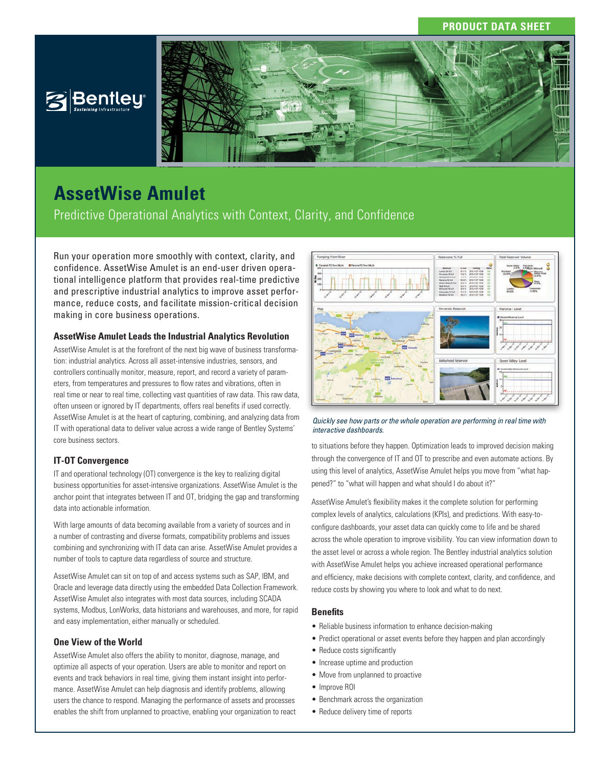## **PRODUCT DATA SHEET**



# **AssetWise Amulet**

Predictive Operational Analytics with Context, Clarity, and Confidence

Run your operation more smoothly with context, clarity, and confidence. AssetWise Amulet is an end-user driven operational intelligence platform that provides real-time predictive and prescriptive industrial analytics to improve asset performance, reduce costs, and facilitate mission-critical decision making in core business operations.

### **AssetWise Amulet Leads the Industrial Analytics Revolution**

AssetWise Amulet is at the forefront of the next big wave of business transformation: industrial analytics. Across all asset-intensive industries, sensors, and controllers continually monitor, measure, report, and record a variety of parameters, from temperatures and pressures to flow rates and vibrations, often in real time or near to real time, collecting vast quantities of raw data. This raw data, often unseen or ignored by IT departments, offers real benefits if used correctly. AssetWise Amulet is at the heart of capturing, combining, and analyzing data from IT with operational data to deliver value across a wide range of Bentley Systems' core business sectors.

### **IT-OT Convergence**

IT and operational technology (OT) convergence is the key to realizing digital business opportunities for asset-intensive organizations. AssetWise Amulet is the anchor point that integrates between IT and OT, bridging the gap and transforming data into actionable information.

With large amounts of data becoming available from a variety of sources and in a number of contrasting and diverse formats, compatibility problems and issues combining and synchronizing with IT data can arise. AssetWise Amulet provides a number of tools to capture data regardless of source and structure.

AssetWise Amulet can sit on top of and access systems such as SAP, IBM, and Oracle and leverage data directly using the embedded Data Collection Framework. AssetWise Amulet also integrates with most data sources, including SCADA systems, Modbus, LonWorks, data historians and warehouses, and more, for rapid and easy implementation, either manually or scheduled.

### **One View of the World**

AssetWise Amulet also offers the ability to monitor, diagnose, manage, and optimize all aspects of your operation. Users are able to monitor and report on events and track behaviors in real time, giving them instant insight into performance. AssetWise Amulet can help diagnosis and identify problems, allowing users the chance to respond. Managing the performance of assets and processes enables the shift from unplanned to proactive, enabling your organization to react



*Quickly see how parts or the whole operation are performing in real time with interactive dashboards.*

to situations before they happen. Optimization leads to improved decision making through the convergence of IT and OT to prescribe and even automate actions. By using this level of analytics, AssetWise Amulet helps you move from "what happened?" to "what will happen and what should I do about it?"

AssetWise Amulet's flexibility makes it the complete solution for performing complex levels of analytics, calculations (KPIs), and predictions. With easy-toconfigure dashboards, your asset data can quickly come to life and be shared across the whole operation to improve visibility. You can view information down to the asset level or across a whole region. The Bentley industrial analytics solution with AssetWise Amulet helps you achieve increased operational performance and efficiency, make decisions with complete context, clarity, and confidence, and reduce costs by showing you where to look and what to do next.

### **Benefits**

- Reliable business information to enhance decision-making
- Predict operational or asset events before they happen and plan accordingly
- Reduce costs significantly
- Increase uptime and production
- Move from unplanned to proactive
- Improve ROI
- Benchmark across the organization
- Reduce delivery time of reports